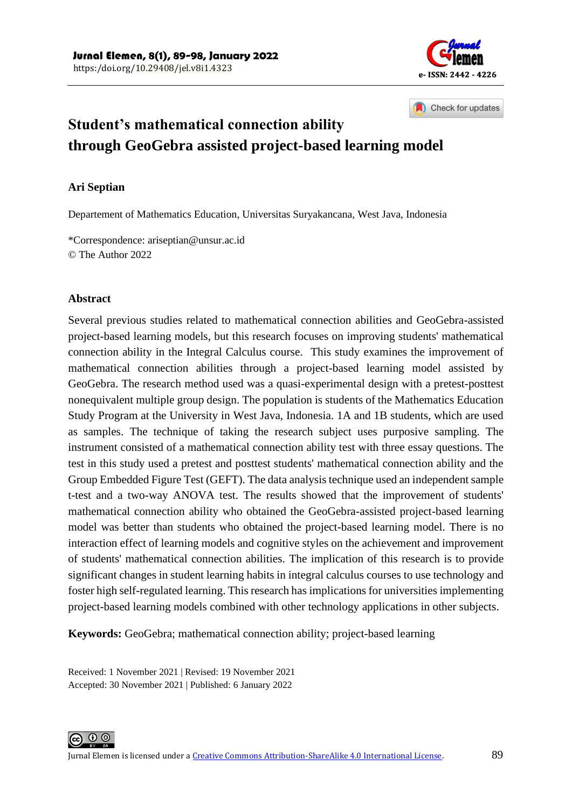

Check for updates

# **Student's mathematical connection ability through GeoGebra assisted project-based learning model**

#### **Ari Septian**

Departement of Mathematics Education, Universitas Suryakancana, West Java, Indonesia

\*Correspondence[: ariseptian@unsur.ac.id](mailto:ariseptian@unsur.ac.id) © The Author 2022

#### **Abstract**

Several previous studies related to mathematical connection abilities and GeoGebra-assisted project-based learning models, but this research focuses on improving students' mathematical connection ability in the Integral Calculus course. This study examines the improvement of mathematical connection abilities through a project-based learning model assisted by GeoGebra. The research method used was a quasi-experimental design with a pretest-posttest nonequivalent multiple group design. The population is students of the Mathematics Education Study Program at the University in West Java, Indonesia. 1A and 1B students, which are used as samples. The technique of taking the research subject uses purposive sampling. The instrument consisted of a mathematical connection ability test with three essay questions. The test in this study used a pretest and posttest students' mathematical connection ability and the Group Embedded Figure Test (GEFT). The data analysis technique used an independent sample t-test and a two-way ANOVA test. The results showed that the improvement of students' mathematical connection ability who obtained the GeoGebra-assisted project-based learning model was better than students who obtained the project-based learning model. There is no interaction effect of learning models and cognitive styles on the achievement and improvement of students' mathematical connection abilities. The implication of this research is to provide significant changes in student learning habits in integral calculus courses to use technology and foster high self-regulated learning. This research has implications for universities implementing project-based learning models combined with other technology applications in other subjects.

**Keywords:** GeoGebra; mathematical connection ability; project-based learning

Received: 1 November 2021 | Revised: 19 November 2021 Accepted: 30 November 2021 | Published: 6 January 2022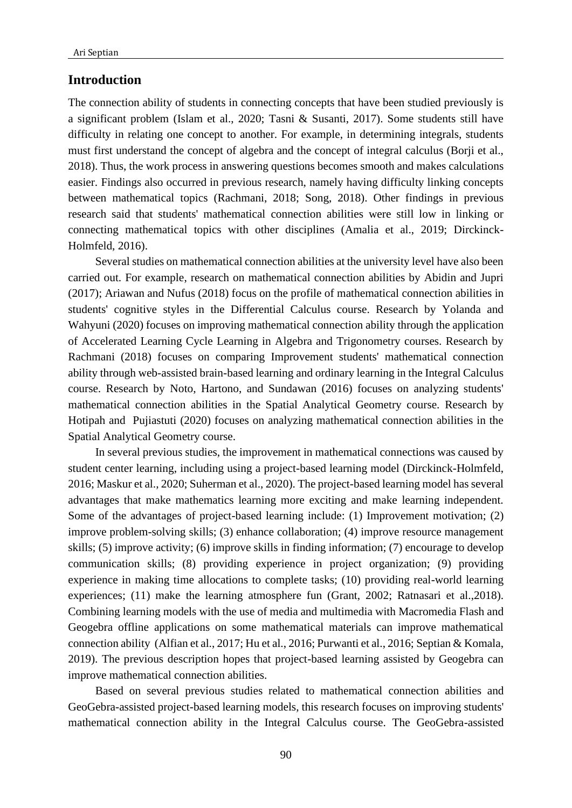#### **Introduction**

The connection ability of students in connecting concepts that have been studied previously is a significant problem (Islam et al., 2020; Tasni & Susanti, 2017). Some students still have difficulty in relating one concept to another. For example, in determining integrals, students must first understand the concept of algebra and the concept of integral calculus (Borji et al., 2018). Thus, the work process in answering questions becomes smooth and makes calculations easier. Findings also occurred in previous research, namely having difficulty linking concepts between mathematical topics (Rachmani, 2018; Song, 2018). Other findings in previous research said that students' mathematical connection abilities were still low in linking or connecting mathematical topics with other disciplines (Amalia et al., 2019; Dirckinck-Holmfeld, 2016).

Several studies on mathematical connection abilities at the university level have also been carried out. For example, research on mathematical connection abilities by Abidin and Jupri (2017); Ariawan and Nufus (2018) focus on the profile of mathematical connection abilities in students' cognitive styles in the Differential Calculus course. Research by Yolanda and Wahyuni (2020) focuses on improving mathematical connection ability through the application of Accelerated Learning Cycle Learning in Algebra and Trigonometry courses. Research by Rachmani (2018) focuses on comparing Improvement students' mathematical connection ability through web-assisted brain-based learning and ordinary learning in the Integral Calculus course. Research by Noto, Hartono, and Sundawan (2016) focuses on analyzing students' mathematical connection abilities in the Spatial Analytical Geometry course. Research by Hotipah and Pujiastuti (2020) focuses on analyzing mathematical connection abilities in the Spatial Analytical Geometry course.

In several previous studies, the improvement in mathematical connections was caused by student center learning, including using a project-based learning model (Dirckinck-Holmfeld, 2016; Maskur et al., 2020; Suherman et al., 2020). The project-based learning model has several advantages that make mathematics learning more exciting and make learning independent. Some of the advantages of project-based learning include: (1) Improvement motivation; (2) improve problem-solving skills; (3) enhance collaboration; (4) improve resource management skills; (5) improve activity; (6) improve skills in finding information; (7) encourage to develop communication skills; (8) providing experience in project organization; (9) providing experience in making time allocations to complete tasks; (10) providing real-world learning experiences; (11) make the learning atmosphere fun (Grant, 2002; Ratnasari et al.,2018). Combining learning models with the use of media and multimedia with Macromedia Flash and Geogebra offline applications on some mathematical materials can improve mathematical connection ability (Alfian et al., 2017; Hu et al., 2016; Purwanti et al., 2016; Septian & Komala, 2019). The previous description hopes that project-based learning assisted by Geogebra can improve mathematical connection abilities.

Based on several previous studies related to mathematical connection abilities and GeoGebra-assisted project-based learning models, this research focuses on improving students' mathematical connection ability in the Integral Calculus course. The GeoGebra-assisted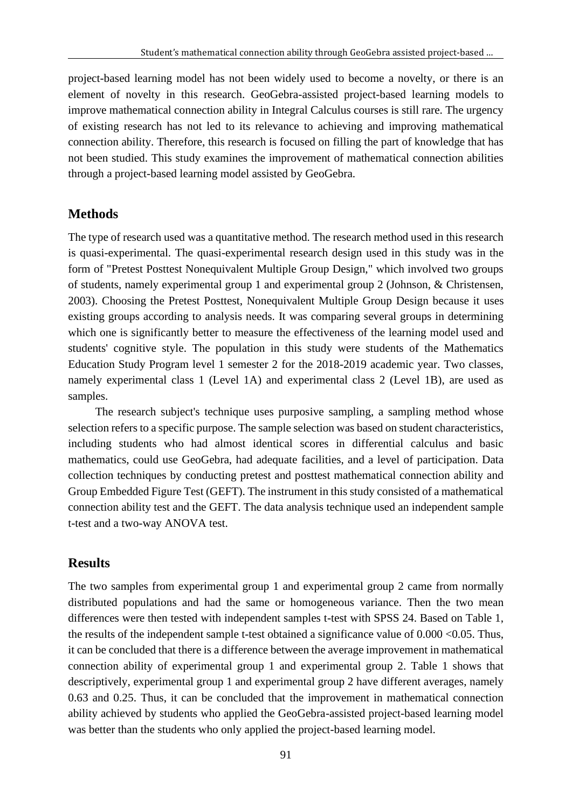project-based learning model has not been widely used to become a novelty, or there is an element of novelty in this research. GeoGebra-assisted project-based learning models to improve mathematical connection ability in Integral Calculus courses is still rare. The urgency of existing research has not led to its relevance to achieving and improving mathematical connection ability. Therefore, this research is focused on filling the part of knowledge that has not been studied. This study examines the improvement of mathematical connection abilities through a project-based learning model assisted by GeoGebra.

## **Methods**

The type of research used was a quantitative method. The research method used in this research is quasi-experimental. The quasi-experimental research design used in this study was in the form of "Pretest Posttest Nonequivalent Multiple Group Design," which involved two groups of students, namely experimental group 1 and experimental group 2 (Johnson, & Christensen, 2003). Choosing the Pretest Posttest, Nonequivalent Multiple Group Design because it uses existing groups according to analysis needs. It was comparing several groups in determining which one is significantly better to measure the effectiveness of the learning model used and students' cognitive style. The population in this study were students of the Mathematics Education Study Program level 1 semester 2 for the 2018-2019 academic year. Two classes, namely experimental class 1 (Level 1A) and experimental class 2 (Level 1B), are used as samples.

The research subject's technique uses purposive sampling, a sampling method whose selection refers to a specific purpose. The sample selection was based on student characteristics, including students who had almost identical scores in differential calculus and basic mathematics, could use GeoGebra, had adequate facilities, and a level of participation. Data collection techniques by conducting pretest and posttest mathematical connection ability and Group Embedded Figure Test (GEFT). The instrument in this study consisted of a mathematical connection ability test and the GEFT. The data analysis technique used an independent sample t-test and a two-way ANOVA test.

## **Results**

The two samples from experimental group 1 and experimental group 2 came from normally distributed populations and had the same or homogeneous variance. Then the two mean differences were then tested with independent samples t-test with SPSS 24. Based on Table 1, the results of the independent sample t-test obtained a significance value of  $0.000 \le 0.05$ . Thus, it can be concluded that there is a difference between the average improvement in mathematical connection ability of experimental group 1 and experimental group 2. Table 1 shows that descriptively, experimental group 1 and experimental group 2 have different averages, namely 0.63 and 0.25. Thus, it can be concluded that the improvement in mathematical connection ability achieved by students who applied the GeoGebra-assisted project-based learning model was better than the students who only applied the project-based learning model.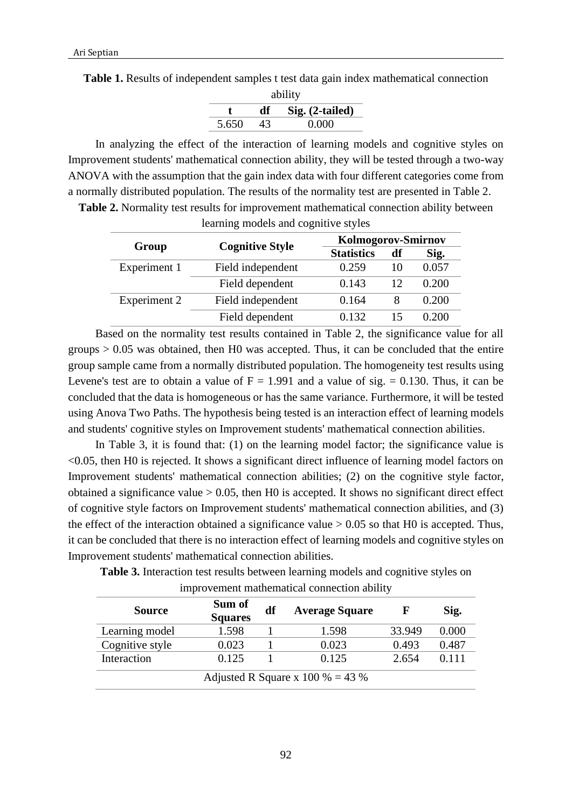|  |  |  |  | Table 1. Results of independent samples t test data gain index mathematical connection |  |
|--|--|--|--|----------------------------------------------------------------------------------------|--|
|  |  |  |  |                                                                                        |  |

| ability |    |                   |  |  |  |  |
|---------|----|-------------------|--|--|--|--|
|         | dť | $Sig. (2-tailed)$ |  |  |  |  |
| 5.650   | 43 | 0.000             |  |  |  |  |

In analyzing the effect of the interaction of learning models and cognitive styles on Improvement students' mathematical connection ability, they will be tested through a two-way ANOVA with the assumption that the gain index data with four different categories come from a normally distributed population. The results of the normality test are presented in Table 2.

|              |                        | <b>Kolmogorov-Smirnov</b> |    |       |  |  |
|--------------|------------------------|---------------------------|----|-------|--|--|
| Group        | <b>Cognitive Style</b> | <b>Statistics</b>         | df | Sig.  |  |  |
| Experiment 1 | Field independent      | 0.259                     | 10 | 0.057 |  |  |
|              | Field dependent        | 0.143                     | 12 | 0.200 |  |  |
| Experiment 2 | Field independent      | 0.164                     |    | 0.200 |  |  |
|              | Field dependent        | 0.132                     |    | 0.200 |  |  |

**Table 2.** Normality test results for improvement mathematical connection ability between learning models and cognitive styles

Based on the normality test results contained in Table 2, the significance value for all groups  $> 0.05$  was obtained, then H0 was accepted. Thus, it can be concluded that the entire group sample came from a normally distributed population. The homogeneity test results using Levene's test are to obtain a value of  $F = 1.991$  and a value of sig. = 0.130. Thus, it can be concluded that the data is homogeneous or has the same variance. Furthermore, it will be tested using Anova Two Paths. The hypothesis being tested is an interaction effect of learning models and students' cognitive styles on Improvement students' mathematical connection abilities.

In Table 3, it is found that: (1) on the learning model factor; the significance value is <0.05, then H0 is rejected. It shows a significant direct influence of learning model factors on Improvement students' mathematical connection abilities; (2) on the cognitive style factor, obtained a significance value  $> 0.05$ , then H0 is accepted. It shows no significant direct effect of cognitive style factors on Improvement students' mathematical connection abilities, and (3) the effect of the interaction obtained a significance value  $> 0.05$  so that H0 is accepted. Thus, it can be concluded that there is no interaction effect of learning models and cognitive styles on Improvement students' mathematical connection abilities.

| <b>Table 3.</b> Interaction test results between learning models and cognitive styles on |  |  |  |
|------------------------------------------------------------------------------------------|--|--|--|
| improvement mathematical connection ability                                              |  |  |  |

| <b>Source</b>                    | Sum of<br><b>Squares</b> | df | <b>Average Square</b> | F      | Sig.  |  |
|----------------------------------|--------------------------|----|-----------------------|--------|-------|--|
| Learning model                   | 1.598                    |    | 1.598                 | 33.949 | 0.000 |  |
| Cognitive style                  | 0.023                    |    | 0.023                 | 0.493  | 0.487 |  |
| Interaction                      | 0.125                    |    | 0.125                 | 2.654  | 0.111 |  |
| Adjusted R Square x 100 % = 43 % |                          |    |                       |        |       |  |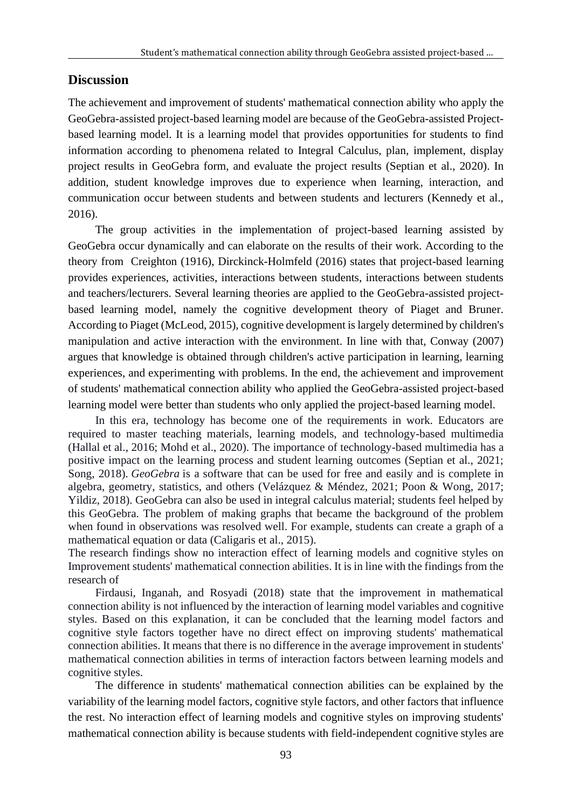## **Discussion**

The achievement and improvement of students' mathematical connection ability who apply the GeoGebra-assisted project-based learning model are because of the GeoGebra-assisted Projectbased learning model. It is a learning model that provides opportunities for students to find information according to phenomena related to Integral Calculus, plan, implement, display project results in GeoGebra form, and evaluate the project results (Septian et al., 2020). In addition, student knowledge improves due to experience when learning, interaction, and communication occur between students and between students and lecturers (Kennedy et al., 2016).

The group activities in the implementation of project-based learning assisted by GeoGebra occur dynamically and can elaborate on the results of their work. According to the theory from Creighton (1916), Dirckinck-Holmfeld (2016) states that project-based learning provides experiences, activities, interactions between students, interactions between students and teachers/lecturers. Several learning theories are applied to the GeoGebra-assisted projectbased learning model, namely the cognitive development theory of Piaget and Bruner. According to Piaget (McLeod, 2015), cognitive development is largely determined by children's manipulation and active interaction with the environment. In line with that, Conway (2007) argues that knowledge is obtained through children's active participation in learning, learning experiences, and experimenting with problems. In the end, the achievement and improvement of students' mathematical connection ability who applied the GeoGebra-assisted project-based learning model were better than students who only applied the project-based learning model.

In this era, technology has become one of the requirements in work. Educators are required to master teaching materials, learning models, and technology-based multimedia (Hallal et al., 2016; Mohd et al., 2020). The importance of technology-based multimedia has a positive impact on the learning process and student learning outcomes (Septian et al., 2021; Song, 2018). *GeoGebra* is a software that can be used for free and easily and is complete in algebra, geometry, statistics, and others (Velázquez & Méndez, 2021; Poon & Wong, 2017; Yildiz, 2018). GeoGebra can also be used in integral calculus material; students feel helped by this GeoGebra. The problem of making graphs that became the background of the problem when found in observations was resolved well. For example, students can create a graph of a mathematical equation or data (Caligaris et al., 2015).

The research findings show no interaction effect of learning models and cognitive styles on Improvement students' mathematical connection abilities. It is in line with the findings from the research of

Firdausi, Inganah, and Rosyadi (2018) state that the improvement in mathematical connection ability is not influenced by the interaction of learning model variables and cognitive styles. Based on this explanation, it can be concluded that the learning model factors and cognitive style factors together have no direct effect on improving students' mathematical connection abilities. It means that there is no difference in the average improvement in students' mathematical connection abilities in terms of interaction factors between learning models and cognitive styles.

The difference in students' mathematical connection abilities can be explained by the variability of the learning model factors, cognitive style factors, and other factors that influence the rest. No interaction effect of learning models and cognitive styles on improving students' mathematical connection ability is because students with field-independent cognitive styles are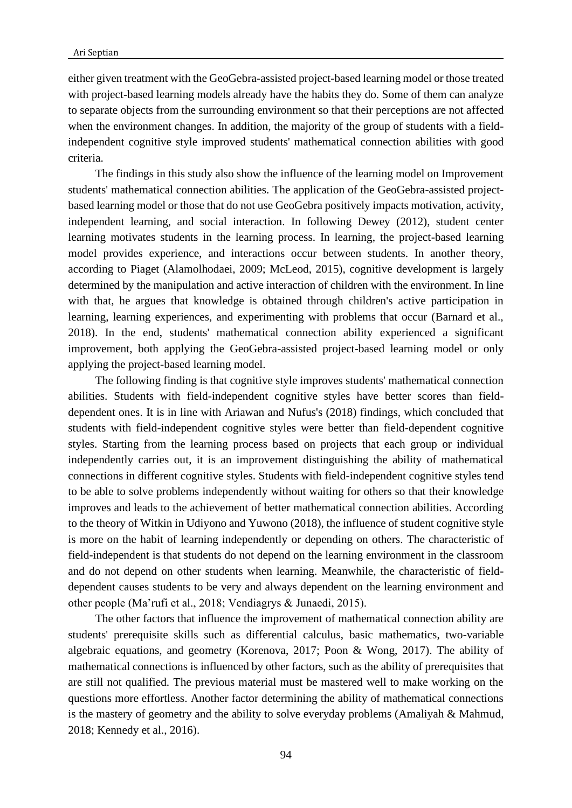either given treatment with the GeoGebra-assisted project-based learning model or those treated with project-based learning models already have the habits they do. Some of them can analyze to separate objects from the surrounding environment so that their perceptions are not affected when the environment changes. In addition, the majority of the group of students with a fieldindependent cognitive style improved students' mathematical connection abilities with good criteria.

The findings in this study also show the influence of the learning model on Improvement students' mathematical connection abilities. The application of the GeoGebra-assisted projectbased learning model or those that do not use GeoGebra positively impacts motivation, activity, independent learning, and social interaction. In following Dewey (2012), student center learning motivates students in the learning process. In learning, the project-based learning model provides experience, and interactions occur between students. In another theory, according to Piaget (Alamolhodaei, 2009; McLeod, 2015), cognitive development is largely determined by the manipulation and active interaction of children with the environment. In line with that, he argues that knowledge is obtained through children's active participation in learning, learning experiences, and experimenting with problems that occur (Barnard et al., 2018). In the end, students' mathematical connection ability experienced a significant improvement, both applying the GeoGebra-assisted project-based learning model or only applying the project-based learning model.

The following finding is that cognitive style improves students' mathematical connection abilities. Students with field-independent cognitive styles have better scores than fielddependent ones. It is in line with Ariawan and Nufus's (2018) findings, which concluded that students with field-independent cognitive styles were better than field-dependent cognitive styles. Starting from the learning process based on projects that each group or individual independently carries out, it is an improvement distinguishing the ability of mathematical connections in different cognitive styles. Students with field-independent cognitive styles tend to be able to solve problems independently without waiting for others so that their knowledge improves and leads to the achievement of better mathematical connection abilities. According to the theory of Witkin in Udiyono and Yuwono (2018), the influence of student cognitive style is more on the habit of learning independently or depending on others. The characteristic of field-independent is that students do not depend on the learning environment in the classroom and do not depend on other students when learning. Meanwhile, the characteristic of fielddependent causes students to be very and always dependent on the learning environment and other people (Ma'rufi et al., 2018; Vendiagrys & Junaedi, 2015).

The other factors that influence the improvement of mathematical connection ability are students' prerequisite skills such as differential calculus, basic mathematics, two-variable algebraic equations, and geometry (Korenova, 2017; Poon & Wong, 2017). The ability of mathematical connections is influenced by other factors, such as the ability of prerequisites that are still not qualified. The previous material must be mastered well to make working on the questions more effortless. Another factor determining the ability of mathematical connections is the mastery of geometry and the ability to solve everyday problems (Amaliyah & Mahmud, 2018; Kennedy et al., 2016).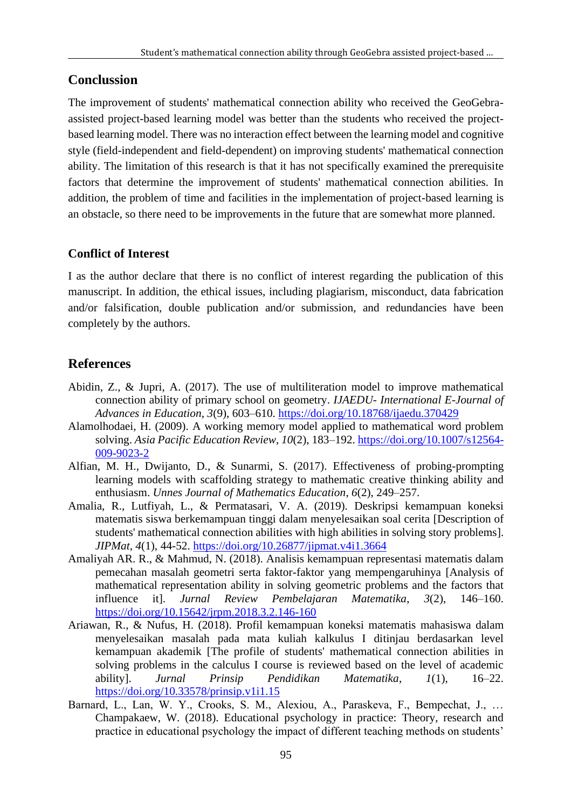## **Conclussion**

The improvement of students' mathematical connection ability who received the GeoGebraassisted project-based learning model was better than the students who received the projectbased learning model. There was no interaction effect between the learning model and cognitive style (field-independent and field-dependent) on improving students' mathematical connection ability. The limitation of this research is that it has not specifically examined the prerequisite factors that determine the improvement of students' mathematical connection abilities. In addition, the problem of time and facilities in the implementation of project-based learning is an obstacle, so there need to be improvements in the future that are somewhat more planned.

## **Conflict of Interest**

I as the author declare that there is no conflict of interest regarding the publication of this manuscript. In addition, the ethical issues, including plagiarism, misconduct, data fabrication and/or falsification, double publication and/or submission, and redundancies have been completely by the authors.

## **References**

- Abidin, Z., & Jupri, A. (2017). The use of multiliteration model to improve mathematical connection ability of primary school on geometry. *IJAEDU- International E-Journal of Advances in Education*, *3*(9), 603–610.<https://doi.org/10.18768/ijaedu.370429>
- Alamolhodaei, H. (2009). A working memory model applied to mathematical word problem solving. *Asia Pacific Education Review*, *10*(2), 183–192. [https://doi.org/10.1007/s12564-](https://doi.org/10.1007/s12564-009-9023-2) [009-9023-2](https://doi.org/10.1007/s12564-009-9023-2)
- Alfian, M. H., Dwijanto, D., & Sunarmi, S. (2017). Effectiveness of probing-prompting learning models with scaffolding strategy to mathematic creative thinking ability and enthusiasm. *Unnes Journal of Mathematics Education*, *6*(2), 249–257.
- Amalia, R., Lutfiyah, L., & Permatasari, V. A. (2019). Deskripsi kemampuan koneksi matematis siswa berkemampuan tinggi dalam menyelesaikan soal cerita [Description of students' mathematical connection abilities with high abilities in solving story problems]. *JIPMat*, *4*(1), 44-52.<https://doi.org/10.26877/jipmat.v4i1.3664>
- Amaliyah AR. R., & Mahmud, N. (2018). Analisis kemampuan representasi matematis dalam pemecahan masalah geometri serta faktor-faktor yang mempengaruhinya [Analysis of mathematical representation ability in solving geometric problems and the factors that influence it]. *Jurnal Review Pembelajaran Matematika*, *3*(2), 146–160. <https://doi.org/10.15642/jrpm.2018.3.2.146-160>
- Ariawan, R., & Nufus, H. (2018). Profil kemampuan koneksi matematis mahasiswa dalam menyelesaikan masalah pada mata kuliah kalkulus I ditinjau berdasarkan level kemampuan akademik [The profile of students' mathematical connection abilities in solving problems in the calculus I course is reviewed based on the level of academic ability]. *Jurnal Prinsip Pendidikan Matematika*, *1*(1), 16–22. <https://doi.org/10.33578/prinsip.v1i1.15>
- Barnard, L., Lan, W. Y., Crooks, S. M., Alexiou, A., Paraskeva, F., Bempechat, J., … Champakaew, W. (2018). Educational psychology in practice: Theory, research and practice in educational psychology the impact of different teaching methods on students'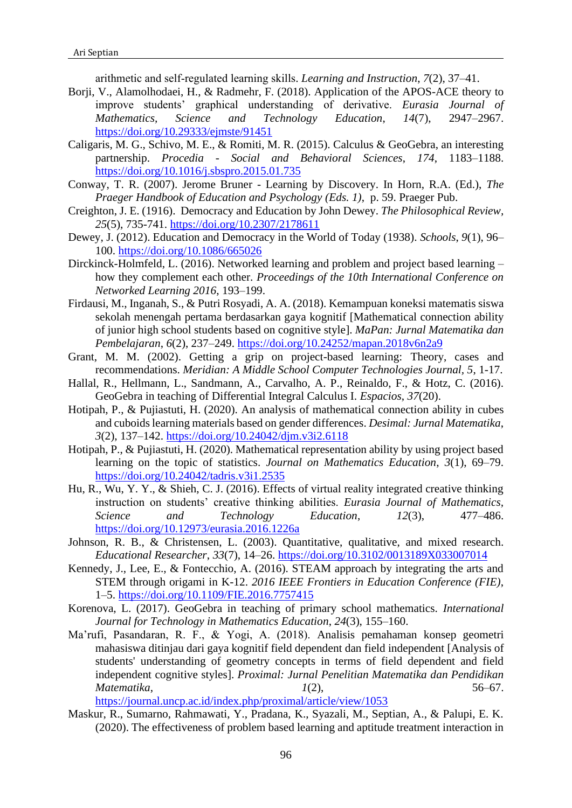arithmetic and self‐regulated learning skills. *Learning and Instruction*, *7*(2), 37–41.

- Borji, V., Alamolhodaei, H., & Radmehr, F. (2018). Application of the APOS-ACE theory to improve students' graphical understanding of derivative. *Eurasia Journal of Mathematics, Science and Technology Education*, *14*(7), 2947–2967. <https://doi.org/10.29333/ejmste/91451>
- Caligaris, M. G., Schivo, M. E., & Romiti, M. R. (2015). Calculus & GeoGebra, an interesting partnership. *Procedia - Social and Behavioral Sciences*, *174*, 1183–1188. <https://doi.org/10.1016/j.sbspro.2015.01.735>
- Conway, T. R. (2007). Jerome Bruner Learning by Discovery. In Horn, R.A. (Ed.), *The Praeger Handbook of Education and Psychology (Eds. 1)*, p. 59. Praeger Pub.
- Creighton, J. E. (1916). Democracy and Education by John Dewey. *The Philosophical Review, 25*(5), 735-741.<https://doi.org/10.2307/2178611>
- Dewey, J. (2012). Education and Democracy in the World of Today (1938). *Schools*, *9*(1), 96– 100.<https://doi.org/10.1086/665026>
- Dirckinck-Holmfeld, L. (2016). Networked learning and problem and project based learning how they complement each other. *Proceedings of the 10th International Conference on Networked Learning 2016*, 193–199.
- Firdausi, M., Inganah, S., & Putri Rosyadi, A. A. (2018). Kemampuan koneksi matematis siswa sekolah menengah pertama berdasarkan gaya kognitif [Mathematical connection ability of junior high school students based on cognitive style]. *MaPan: Jurnal Matematika dan Pembelajaran*, *6*(2), 237–249.<https://doi.org/10.24252/mapan.2018v6n2a9>
- Grant, M. M. (2002). Getting a grip on project-based learning: Theory, cases and recommendations. *Meridian: A Middle School Computer Technologies Journal, 5*, 1-17.
- Hallal, R., Hellmann, L., Sandmann, A., Carvalho, A. P., Reinaldo, F., & Hotz, C. (2016). GeoGebra in teaching of Differential Integral Calculus I. *Espacios*, *37*(20).
- Hotipah, P., & Pujiastuti, H. (2020). An analysis of mathematical connection ability in cubes and cuboids learning materials based on gender differences. *Desimal: Jurnal Matematika*, *3*(2), 137–142.<https://doi.org/10.24042/djm.v3i2.6118>
- Hotipah, P., & Pujiastuti, H. (2020). Mathematical representation ability by using project based learning on the topic of statistics. *Journal on Mathematics Education*, *3*(1), 69–79. <https://doi.org/10.24042/tadris.v3i1.2535>
- Hu, R., Wu, Y. Y., & Shieh, C. J. (2016). Effects of virtual reality integrated creative thinking instruction on students' creative thinking abilities. *Eurasia Journal of Mathematics, Science and Technology Education*, *12*(3), 477–486. <https://doi.org/10.12973/eurasia.2016.1226a>
- Johnson, R. B., & Christensen, L. (2003). Quantitative, qualitative, and mixed research. *Educational Researcher*, *33*(7), 14–26. <https://doi.org/10.3102/0013189X033007014>
- Kennedy, J., Lee, E., & Fontecchio, A. (2016). STEAM approach by integrating the arts and STEM through origami in K-12. *2016 IEEE Frontiers in Education Conference (FIE)*, 1–5.<https://doi.org/10.1109/FIE.2016.7757415>
- Korenova, L. (2017). GeoGebra in teaching of primary school mathematics. *International Journal for Technology in Mathematics Education*, *24*(3), 155–160.
- Ma'rufi, Pasandaran, R. F., & Yogi, A. (2018). Analisis pemahaman konsep geometri mahasiswa ditinjau dari gaya kognitif field dependent dan field independent [Analysis of students' understanding of geometry concepts in terms of field dependent and field independent cognitive styles]. *Proximal: Jurnal Penelitian Matematika dan Pendidikan Matematika*, *1*(2), 56–67.

<https://journal.uncp.ac.id/index.php/proximal/article/view/1053>

Maskur, R., Sumarno, Rahmawati, Y., Pradana, K., Syazali, M., Septian, A., & Palupi, E. K. (2020). The effectiveness of problem based learning and aptitude treatment interaction in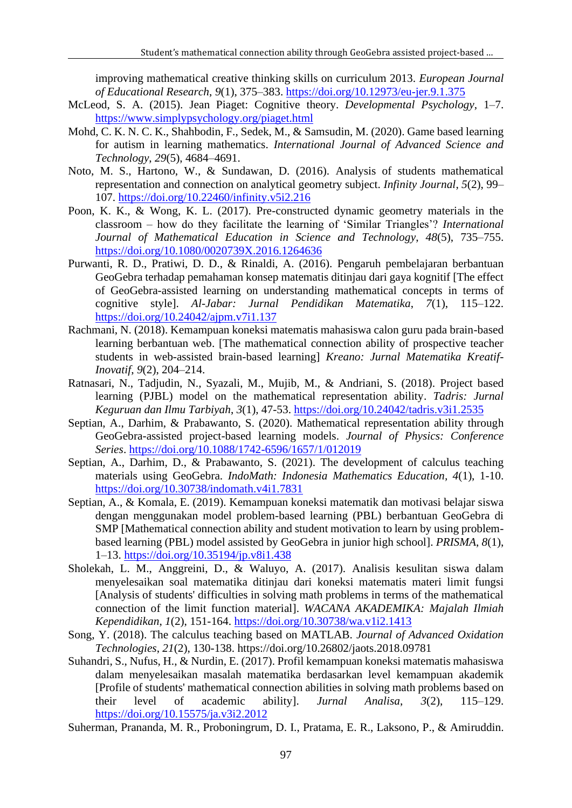improving mathematical creative thinking skills on curriculum 2013. *European Journal of Educational Research*, *9*(1), 375–383.<https://doi.org/10.12973/eu-jer.9.1.375>

- McLeod, S. A. (2015). Jean Piaget: Cognitive theory. *Developmental Psychology*, 1–7. <https://www.simplypsychology.org/piaget.html>
- Mohd, C. K. N. C. K., Shahbodin, F., Sedek, M., & Samsudin, M. (2020). Game based learning for autism in learning mathematics. *International Journal of Advanced Science and Technology*, *29*(5), 4684–4691.
- Noto, M. S., Hartono, W., & Sundawan, D. (2016). Analysis of students mathematical representation and connection on analytical geometry subject. *Infinity Journal*, *5*(2), 99– 107.<https://doi.org/10.22460/infinity.v5i2.216>
- Poon, K. K., & Wong, K. L. (2017). Pre-constructed dynamic geometry materials in the classroom – how do they facilitate the learning of 'Similar Triangles'? *International Journal of Mathematical Education in Science and Technology*, *48*(5), 735–755. <https://doi.org/10.1080/0020739X.2016.1264636>
- Purwanti, R. D., Pratiwi, D. D., & Rinaldi, A. (2016). Pengaruh pembelajaran berbantuan GeoGebra terhadap pemahaman konsep matematis ditinjau dari gaya kognitif [The effect of GeoGebra-assisted learning on understanding mathematical concepts in terms of cognitive style]. *Al-Jabar: Jurnal Pendidikan Matematika*, *7*(1), 115–122. <https://doi.org/10.24042/ajpm.v7i1.137>
- Rachmani, N. (2018). Kemampuan koneksi matematis mahasiswa calon guru pada brain-based learning berbantuan web. [The mathematical connection ability of prospective teacher students in web-assisted brain-based learning] *Kreano: Jurnal Matematika Kreatif-Inovatif*, *9*(2), 204–214.
- Ratnasari, N., Tadjudin, N., Syazali, M., Mujib, M., & Andriani, S. (2018). Project based learning (PJBL) model on the mathematical representation ability. *Tadris: Jurnal Keguruan dan Ilmu Tarbiyah*, *3*(1), 47-53.<https://doi.org/10.24042/tadris.v3i1.2535>
- Septian, A., Darhim, & Prabawanto, S. (2020). Mathematical representation ability through GeoGebra-assisted project-based learning models. *Journal of Physics: Conference Series*.<https://doi.org/10.1088/1742-6596/1657/1/012019>
- Septian, A., Darhim, D., & Prabawanto, S. (2021). The development of calculus teaching materials using GeoGebra. *IndoMath: Indonesia Mathematics Education, 4*(1), 1-10. <https://doi.org/10.30738/indomath.v4i1.7831>
- Septian, A., & Komala, E. (2019). Kemampuan koneksi matematik dan motivasi belajar siswa dengan menggunakan model problem-based learning (PBL) berbantuan GeoGebra di SMP [Mathematical connection ability and student motivation to learn by using problembased learning (PBL) model assisted by GeoGebra in junior high school]. *PRISMA*, *8*(1), 1–13.<https://doi.org/10.35194/jp.v8i1.438>
- Sholekah, L. M., Anggreini, D., & Waluyo, A. (2017). Analisis kesulitan siswa dalam menyelesaikan soal matematika ditinjau dari koneksi matematis materi limit fungsi [Analysis of students' difficulties in solving math problems in terms of the mathematical connection of the limit function material]. *WACANA AKADEMIKA: Majalah Ilmiah Kependidikan*, *1*(2), 151-164.<https://doi.org/10.30738/wa.v1i2.1413>
- Song, Y. (2018). The calculus teaching based on MATLAB. *Journal of Advanced Oxidation Technologies*, *21*(2), 130-138. https://doi.org/10.26802/jaots.2018.09781
- Suhandri, S., Nufus, H., & Nurdin, E. (2017). Profil kemampuan koneksi matematis mahasiswa dalam menyelesaikan masalah matematika berdasarkan level kemampuan akademik [Profile of students' mathematical connection abilities in solving math problems based on their level of academic ability]. *Jurnal Analisa*, *3*(2), 115–129. <https://doi.org/10.15575/ja.v3i2.2012>
- Suherman, Prananda, M. R., Proboningrum, D. I., Pratama, E. R., Laksono, P., & Amiruddin.